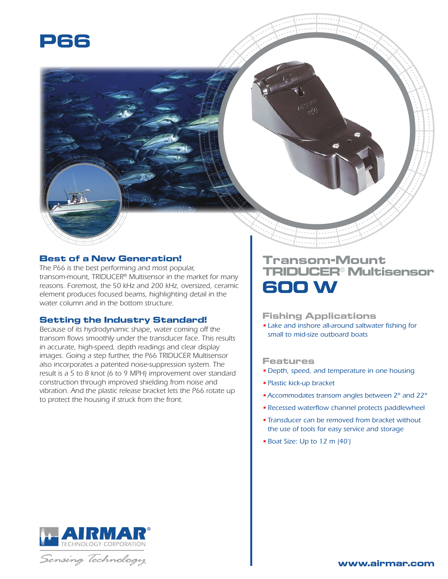

# **Best of a New Generation!**

*The P66 is the best performing and most popular, transom-mount, TRIDUCER® Multisensor in the market for many reasons. Foremost, the 50 kHz and 200 kHz, oversized, ceramic element produces focused beams, highlighting detail in the water column and in the bottom structure.*

## **Setting the Industry Standard!**

*Because of its hydrodynamic shape, water coming off the transom flows smoothly under the transducer face. This results in accurate, high-speed, depth readings and clear display images. Going a step further, the P66 TRIDUCER Multisensor also incorporates a patented noise-suppression system. The result is a 5 to 8 knot (6 to 9 MPH) improvement over standard construction through improved shielding from noise and vibration. And the plastic release bracket lets the P66 rotate up to protect the housing if struck from the front.*

# **Transom-Mount TRIDUCER® Multisensor 600 W**

#### **Fishing Applications**

*• Lake and inshore all-around saltwater fishing for small to mid-size outboard boats*

#### **Features**

- *• Depth, speed, and temperature in one housing*
- *• Plastic kick-up bracket*
- *•Accommodates transom angles between 2° and 22°*
- *• Recessed waterflow channel protects paddlewheel*
- *• Transducer can be removed from bracket without the use of tools for easy service and storage*
- *• Boat Size: Up to 12 m (40')*



Sensing Technology